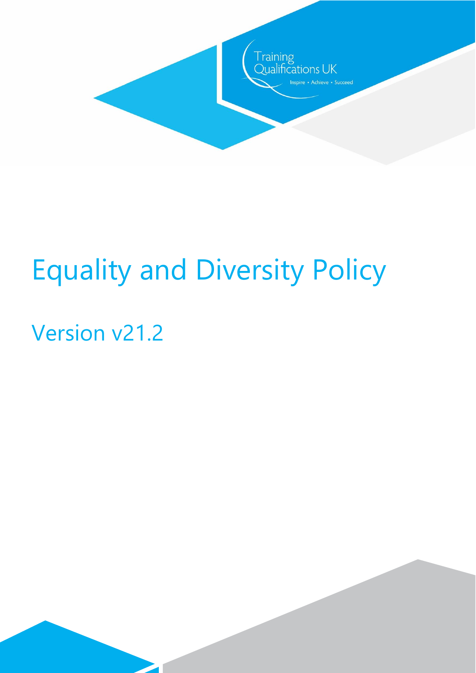

# Equality and Diversity Policy

# Version v21.2

 $\overline{\phantom{a}}$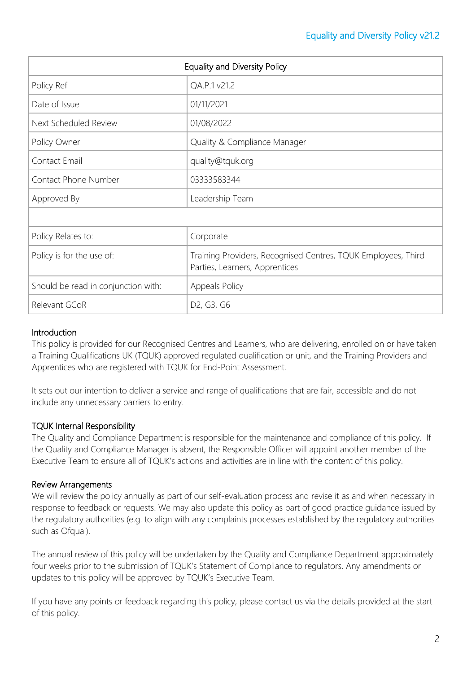| <b>Equality and Diversity Policy</b> |                                                                                                 |
|--------------------------------------|-------------------------------------------------------------------------------------------------|
| Policy Ref                           | QA.P.1 v21.2                                                                                    |
| Date of Issue                        | 01/11/2021                                                                                      |
| Next Scheduled Review                | 01/08/2022                                                                                      |
| Policy Owner                         | Quality & Compliance Manager                                                                    |
| Contact Email                        | quality@tquk.org                                                                                |
| Contact Phone Number                 | 03333583344                                                                                     |
| Approved By                          | Leadership Team                                                                                 |
|                                      |                                                                                                 |
| Policy Relates to:                   | Corporate                                                                                       |
| Policy is for the use of:            | Training Providers, Recognised Centres, TQUK Employees, Third<br>Parties, Learners, Apprentices |
| Should be read in conjunction with:  | Appeals Policy                                                                                  |
| Relevant GCoR                        | D <sub>2</sub> , G <sub>3</sub> , G <sub>6</sub>                                                |

# **Introduction**

This policy is provided for our Recognised Centres and Learners, who are delivering, enrolled on or have taken a Training Qualifications UK (TQUK) approved regulated qualification or unit, and the Training Providers and Apprentices who are registered with TQUK for End-Point Assessment.

It sets out our intention to deliver a service and range of qualifications that are fair, accessible and do not include any unnecessary barriers to entry.

# TQUK Internal Responsibility

The Quality and Compliance Department is responsible for the maintenance and compliance of this policy. If the Quality and Compliance Manager is absent, the Responsible Officer will appoint another member of the Executive Team to ensure all of TQUK's actions and activities are in line with the content of this policy.

# Review Arrangements

We will review the policy annually as part of our self-evaluation process and revise it as and when necessary in response to feedback or requests. We may also update this policy as part of good practice guidance issued by the regulatory authorities (e.g. to align with any complaints processes established by the regulatory authorities such as Ofqual).

The annual review of this policy will be undertaken by the Quality and Compliance Department approximately four weeks prior to the submission of TQUK's Statement of Compliance to regulators. Any amendments or updates to this policy will be approved by TQUK's Executive Team.

If you have any points or feedback regarding this policy, please contact us via the details provided at the start of this policy.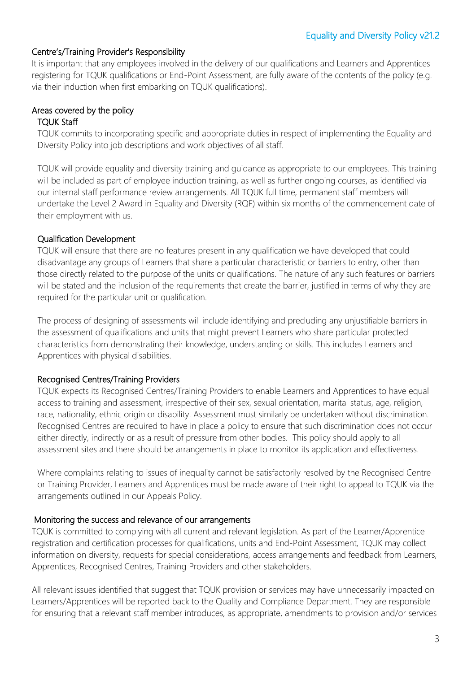# Centre's/Training Provider's Responsibility

It is important that any employees involved in the delivery of our qualifications and Learners and Apprentices registering for TQUK qualifications or End-Point Assessment, are fully aware of the contents of the policy (e.g. via their induction when first embarking on TQUK qualifications).

# Areas covered by the policy

#### TQUK Staff

TQUK commits to incorporating specific and appropriate duties in respect of implementing the Equality and Diversity Policy into job descriptions and work objectives of all staff.

TQUK will provide equality and diversity training and guidance as appropriate to our employees. This training will be included as part of employee induction training, as well as further ongoing courses, as identified via our internal staff performance review arrangements. All TQUK full time, permanent staff members will undertake the Level 2 Award in Equality and Diversity (RQF) within six months of the commencement date of their employment with us.

## Qualification Development

TQUK will ensure that there are no features present in any qualification we have developed that could disadvantage any groups of Learners that share a particular characteristic or barriers to entry, other than those directly related to the purpose of the units or qualifications. The nature of any such features or barriers will be stated and the inclusion of the requirements that create the barrier, justified in terms of why they are required for the particular unit or qualification.

The process of designing of assessments will include identifying and precluding any unjustifiable barriers in the assessment of qualifications and units that might prevent Learners who share particular protected characteristics from demonstrating their knowledge, understanding or skills. This includes Learners and Apprentices with physical disabilities.

# Recognised Centres/Training Providers

TQUK expects its Recognised Centres/Training Providers to enable Learners and Apprentices to have equal access to training and assessment, irrespective of their sex, sexual orientation, marital status, age, religion, race, nationality, ethnic origin or disability. Assessment must similarly be undertaken without discrimination. Recognised Centres are required to have in place a policy to ensure that such discrimination does not occur either directly, indirectly or as a result of pressure from other bodies. This policy should apply to all assessment sites and there should be arrangements in place to monitor its application and effectiveness.

Where complaints relating to issues of inequality cannot be satisfactorily resolved by the Recognised Centre or Training Provider, Learners and Apprentices must be made aware of their right to appeal to TQUK via the arrangements outlined in our Appeals Policy.

### Monitoring the success and relevance of our arrangements

TQUK is committed to complying with all current and relevant legislation. As part of the Learner/Apprentice registration and certification processes for qualifications, units and End-Point Assessment, TQUK may collect information on diversity, requests for special considerations, access arrangements and feedback from Learners, Apprentices, Recognised Centres, Training Providers and other stakeholders.

All relevant issues identified that suggest that TQUK provision or services may have unnecessarily impacted on Learners/Apprentices will be reported back to the Quality and Compliance Department. They are responsible for ensuring that a relevant staff member introduces, as appropriate, amendments to provision and/or services